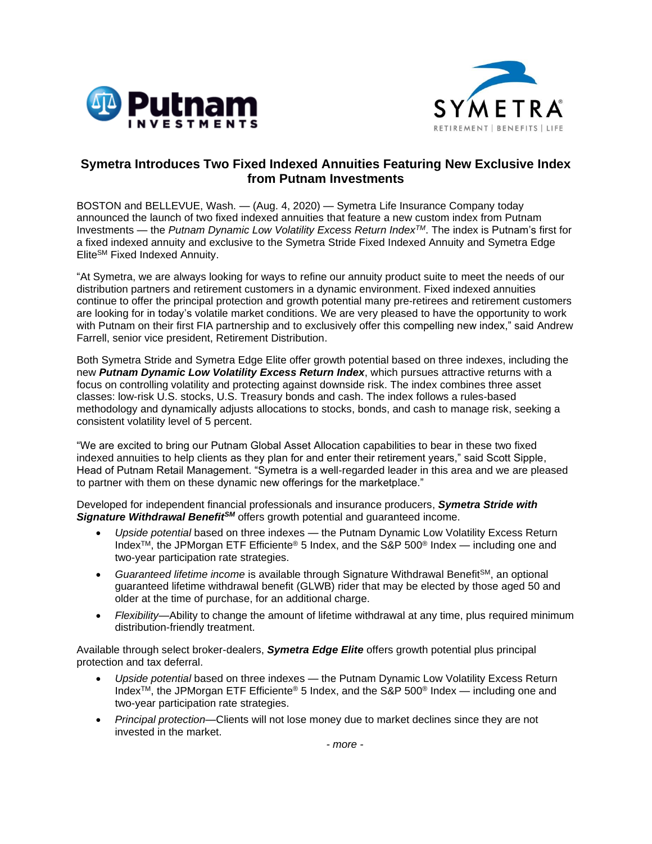



## **Symetra Introduces Two Fixed Indexed Annuities Featuring New Exclusive Index from Putnam Investments**

BOSTON and BELLEVUE, Wash. — (Aug. 4, 2020) — Symetra Life Insurance Company today announced the launch of two fixed indexed annuities that feature a new custom index from Putnam Investments — the *Putnam Dynamic Low Volatility Excess Return IndexTM*. The index is Putnam's first for a fixed indexed annuity and exclusive to the Symetra Stride Fixed Indexed Annuity and Symetra Edge EliteSM Fixed Indexed Annuity.

"At Symetra, we are always looking for ways to refine our annuity product suite to meet the needs of our distribution partners and retirement customers in a dynamic environment. Fixed indexed annuities continue to offer the principal protection and growth potential many pre-retirees and retirement customers are looking for in today's volatile market conditions. We are very pleased to have the opportunity to work with Putnam on their first FIA partnership and to exclusively offer this compelling new index," said Andrew Farrell, senior vice president, Retirement Distribution.

Both Symetra Stride and Symetra Edge Elite offer growth potential based on three indexes, including the new *Putnam Dynamic Low Volatility Excess Return Index*, which pursues attractive returns with a focus on controlling volatility and protecting against downside risk. The index combines three asset classes: low-risk U.S. stocks, U.S. Treasury bonds and cash. The index follows a rules-based methodology and dynamically adjusts allocations to stocks, bonds, and cash to manage risk, seeking a consistent volatility level of 5 percent.

"We are excited to bring our Putnam Global Asset Allocation capabilities to bear in these two fixed indexed annuities to help clients as they plan for and enter their retirement years," said Scott Sipple, Head of Putnam Retail Management. "Symetra is a well-regarded leader in this area and we are pleased to partner with them on these dynamic new offerings for the marketplace."

Developed for independent financial professionals and insurance producers, *Symetra Stride with Signature Withdrawal BenefitSM* offers growth potential and guaranteed income.

- *Upside potential* based on three indexes the Putnam Dynamic Low Volatility Excess Return Index<sup>TM</sup>, the JPMorgan ETF Efficiente<sup>®</sup> 5 Index, and the S&P 500<sup>®</sup> Index — including one and two-year participation rate strategies.
- Guaranteed lifetime income is available through Signature Withdrawal Benefit<sup>SM</sup>, an optional guaranteed lifetime withdrawal benefit (GLWB) rider that may be elected by those aged 50 and older at the time of purchase, for an additional charge.
- *Flexibility*—Ability to change the amount of lifetime withdrawal at any time, plus required minimum distribution-friendly treatment.

Available through select broker-dealers, *Symetra Edge Elite* offers growth potential plus principal protection and tax deferral.

- *Upside potential* based on three indexes the Putnam Dynamic Low Volatility Excess Return Index<sup>TM</sup>, the JPMorgan ETF Efficiente<sup>®</sup> 5 Index, and the S&P 500<sup>®</sup> Index — including one and two-year participation rate strategies.
- *Principal protection*—Clients will not lose money due to market declines since they are not invested in the market.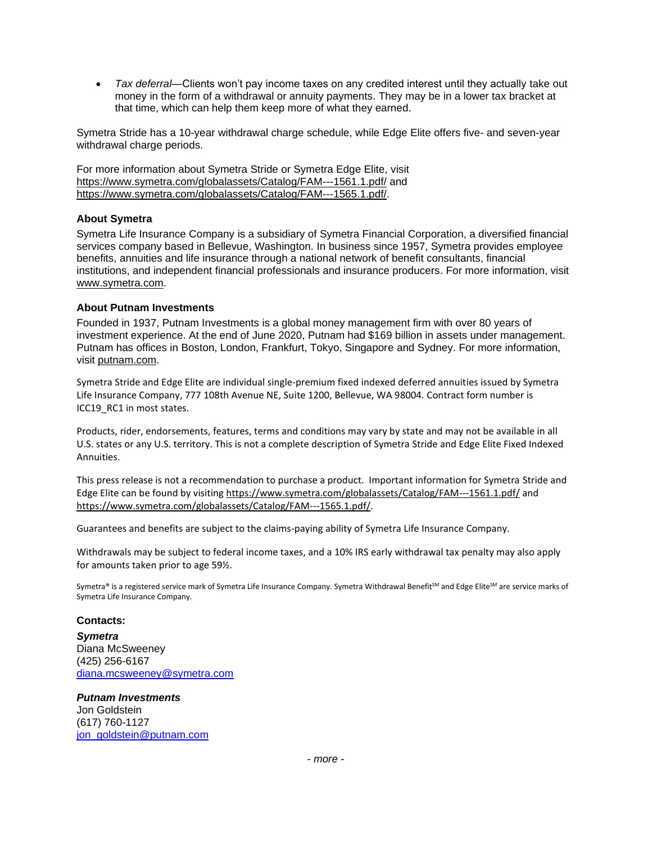• *Tax deferral*—Clients won't pay income taxes on any credited interest until they actually take out money in the form of a withdrawal or annuity payments. They may be in a lower tax bracket at that time, which can help them keep more of what they earned.

Symetra Stride has a 10-year withdrawal charge schedule, while Edge Elite offers five- and seven-year withdrawal charge periods.

For more information about Symetra Stride or Symetra Edge Elite, visit <https://www.symetra.com/globalassets/Catalog/FAM---1561.1.pdf/> and [https://www.symetra.com/globalassets/Catalog/FAM---1565.1.pdf/.](https://www.symetra.com/globalassets/Catalog/FAM---1565.1.pdf/)

## **About Symetra**

Symetra Life Insurance Company is a subsidiary of Symetra Financial Corporation, a diversified financial services company based in Bellevue, Washington. In business since 1957, Symetra provides employee benefits, annuities and life insurance through a national network of benefit consultants, financial institutions, and independent financial professionals and insurance producers. For more information, visit [www.symetra.com.](http://www.symetra.com/)

## **About Putnam Investments**

Founded in 1937, Putnam Investments is a global money management firm with over 80 years of investment experience. At the end of June 2020, Putnam had \$169 billion in assets under management. Putnam has offices in Boston, London, Frankfurt, Tokyo, Singapore and Sydney. For more information, visit [putnam.com.](https://www.putnam.com/)

Symetra Stride and Edge Elite are individual single-premium fixed indexed deferred annuities issued by Symetra Life Insurance Company, 777 108th Avenue NE, Suite 1200, Bellevue, WA 98004. Contract form number is ICC19 RC1 in most states.

Products, rider, endorsements, features, terms and conditions may vary by state and may not be available in all U.S. states or any U.S. territory. This is not a complete description of Symetra Stride and Edge Elite Fixed Indexed Annuities.

This press release is not a recommendation to purchase a product. Important information for Symetra Stride and Edge Elite can be found by visitin[g https://www.symetra.com/globalassets/Catalog/FAM---1561.1.pdf/](https://www.symetra.com/globalassets/Catalog/FAM---1561.1.pdf/) and [https://www.symetra.com/globalassets/Catalog/FAM---1565.1.pdf/.](https://www.symetra.com/globalassets/Catalog/FAM---1565.1.pdf/)

Guarantees and benefits are subject to the claims-paying ability of Symetra Life Insurance Company.

Withdrawals may be subject to federal income taxes, and a 10% IRS early withdrawal tax penalty may also apply for amounts taken prior to age 59½.

Symetra® is a registered service mark of Symetra Life Insurance Company. Symetra Withdrawal Benefit<sup>5M</sup> and Edge Elite<sup>SM</sup> are service marks of Symetra Life Insurance Company.

## **Contacts:**

*Symetra* Diana McSweeney (425) 256-6167 [diana.mcsweeney@symetra.com](mailto:diana.mcsweeney@symetra.com)

*Putnam Investments* Jon Goldstein (617) 760-1127 [jon\\_goldstein@putnam.com](mailto:jon_goldstein@putnam.com)